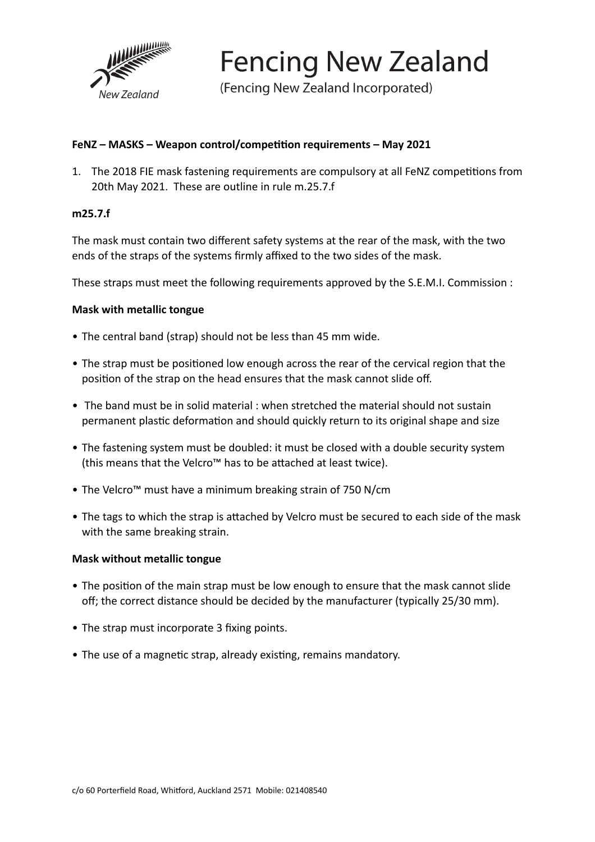

**Fencing New Zealand** 

(Fencing New Zealand Incorporated)

## FeNZ – MASKS – Weapon control/competition requirements – May 2021

1. The 2018 FIE mask fastening requirements are compulsory at all FeNZ competitions from 20th May 2021. These are outline in rule m.25.7.f

### **m25.7.f**

The mask must contain two different safety systems at the rear of the mask, with the two ends of the straps of the systems firmly affixed to the two sides of the mask.

These straps must meet the following requirements approved by the S.E.M.I. Commission :

## **Mask with metallic tongue**

- The central band (strap) should not be less than 45 mm wide.
- The strap must be positioned low enough across the rear of the cervical region that the position of the strap on the head ensures that the mask cannot slide off.
- The band must be in solid material : when stretched the material should not sustain permanent plastic deformation and should quickly return to its original shape and size
- The fastening system must be doubled: it must be closed with a double security system (this means that the Velcro™ has to be attached at least twice).
- The Velcro™ must have a minimum breaking strain of 750 N/cm
- The tags to which the strap is attached by Velcro must be secured to each side of the mask with the same breaking strain.

### **Mask without metallic tongue**

- The position of the main strap must be low enough to ensure that the mask cannot slide off; the correct distance should be decided by the manufacturer (typically 25/30 mm).
- The strap must incorporate 3 fixing points.
- The use of a magnetic strap, already existing, remains mandatory.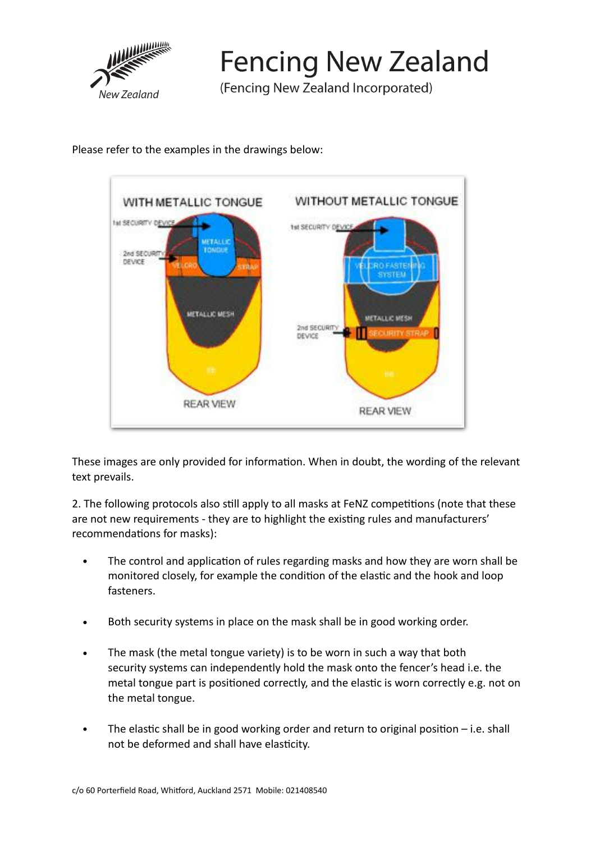

**Fencing New Zealand** 

(Fencing New Zealand Incorporated)

Please refer to the examples in the drawings below:



These images are only provided for information. When in doubt, the wording of the relevant text prevails.

2. The following protocols also still apply to all masks at FeNZ competitions (note that these are not new requirements - they are to highlight the existing rules and manufacturers' recommendations for masks):

- The control and application of rules regarding masks and how they are worn shall be monitored closely, for example the condition of the elastic and the hook and loop fasteners.
- Both security systems in place on the mask shall be in good working order.
- The mask (the metal tongue variety) is to be worn in such a way that both security systems can independently hold the mask onto the fencer's head i.e. the metal tongue part is positioned correctly, and the elastic is worn correctly e.g. not on the metal tongue.
- The elastic shall be in good working order and return to original position i.e. shall not be deformed and shall have elasticity.